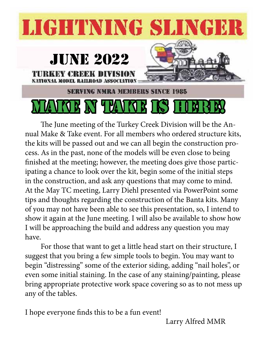## **LIGHTNING SLINGER**



The June meeting of the Turkey Creek Division will be the Annual Make & Take event. For all members who ordered structure kits, the kits will be passed out and we can all begin the construction process. As in the past, none of the models will be even close to being finished at the meeting; however, the meeting does give those participating a chance to look over the kit, begin some of the initial steps in the construction, and ask any questions that may come to mind. At the May TC meeting, Larry Diehl presented via PowerPoint some tips and thoughts regarding the construction of the Banta kits. Many of you may not have been able to see this presentation, so, I intend to show it again at the June meeting. I will also be available to show how I will be approaching the build and address any question you may have.

For those that want to get a little head start on their structure, I suggest that you bring a few simple tools to begin. You may want to begin "distressing" some of the exterior siding, adding "nail holes", or even some initial staining. In the case of any staining/painting, please bring appropriate protective work space covering so as to not mess up any of the tables.

I hope everyone finds this to be a fun event!

Larry Alfred MMR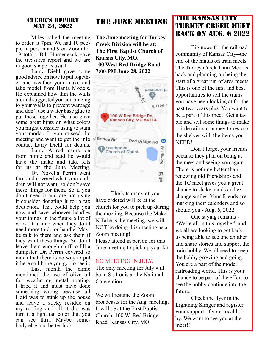#### Clerk's Report May 24, 2022

Miles called the meeting<br>to order at 7pm. We had 10 people in person and 9 on Zoom for 19 total. Bill Humenezuk gave the treasures report and we are in good shape as usual.

Larry Diehl gave some good advice on how to put together and weather your make and take model from Banta Models. He explained how thin the walls are and suggested you add bracing to your walls to prevent warpage and don't use a water base glue to put these together. He also gave some great hints on what colors you might consider using to stain your model. If you missed the meeting and want to get the info d Bridge Rd contact Larry Diehl for details.

Larry Alfred came on from home and said he would have the make and take kits for us at the June Meeting.

Dr. Novella Perrin went thru and covered what your children will not want, so don't save these things for them. So if you don't need it and are not using it consider donating it for a tax deduction. That could help you now and save whoever handles your things in the future a lot of work at a time when they don't need more to do or handle. May- be talk to them and ask them if they want these things. So don't leave them enough stuff to fill a dumpster. Dr. Perrin covered so much that there is no way to put it here so I hope you got to see it.

Last month the clinic mentioned the use of olive oil for weathering metal roofing. I tried it and must have done something wrong because all I did was to stink up the house and leave a sticky residue on my roofing and all it did was turn it a light tan color that you can see thru. Maybe some- body else had better luck.

#### THE JUNE MEETING

**The June meeting for Turkey Creek Division will be at: The First Baptist Church of Kansas City, MO. 100 West Red Bridge Road 7:00 PM June 28, 2022**



The kits many of you have ordered will be at the church for you to pick up during the meeting. Because the Make N Take is the meeting, we will NOT be doing this meeting as a Zoom meeting! Please attend in person for this June meeting to pick up your kit.

#### NO MEETING IN JULY

The only meeting for July will be in St. Louis at the National Convention.

We will resume the Zoom broadcasts for the Aug. meeting. It will be at the First Baptist Church, 100 W. Red Bridge Road, Kansas City, MO.

#### THE KANSAS CITY TURKEY CREEK MEET BACK ON AUG. 6 2022

Big news for the railroad community of Kansas City--the end of the hiatus on train meets. The Turkey Creek Train Meet is back and planning on being the start of a great run of area meets. This is one of the first and best opportunities to sell the trains you have been looking at for the past two years plus. You want to be a part of this meet! Get a table and sell some things to make a little railroad money to restock the shelves with the items you NEED!

Don't forget your friends because they plan on being at the meet and seeing you again. There is nothing better than renewing old friendships and the TC meet gives you a great chance to shake hands and exchange smiles. Your friends are marking their calenders and so should you - Aug. 6, 2022.

One saying remains - "We're all in this together" and we all are looking to get back to being able to see one another and share stories and support the train hobby. We all need to keep the hobby growing and going. You are a part of the model railroading world. This is your chance to be part of the effort to see the hobby continue into the future.

Check the flyer in the Lightning Slinger and register your support of your local hobby. We want to see you at the meet!!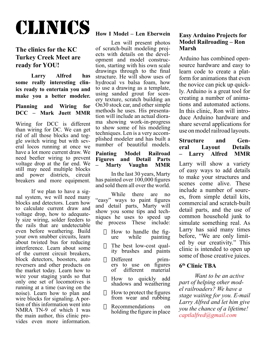## clinics

#### **The clinics for the KC Turkey Creek Meet are ready for YOU!**

**Larry Alfred has some really interesting clinics ready to entertain you and make you a better modeler.**

#### **Planning and Wiring for DCC – Mark Juett MMR**

Wiring for DCC is different than wiring for DC. We can get rid of all those blocks and toggle switch wiring but with several locos running at once we have a lot more current draw. We need beefier wiring to prevent voltage drop at the far end. We still may need multiple blocks and power districts, circuit breakers and more equipment.

If we plan to have a signal system, we will need many blocks and detectors. Learn how to calculate current draw and ly size wiring, solder feeders to the rails that are undetectable even before weathering. Build your own snubber circuits, learn about twisted bus for reducing interference. Learn about some of the current circuit breakers, block detectors, boosters, auto reversers and other products on the market today. Learn how to wire your staging yards so that only one set of locomotives is running at a time (saving on the noise). Learn how to plan and wire blocks for signaling. A portion of this information went into NMRA TN-9 of which I was the main author, this clinic provides even more information.

#### **How I Model – Len Eberwein**

Len will present photos of scratch-built modeling projects with details on the development and model construction, starting with his own scale drawings through to the final structure. He will show uses of hydrocal vs balsa foam, how to use a drawing as a template, using sanded grout for scenery texture, scratch building an On30 stock car, and other simple methods he uses. His presentation will include an actual diorama showing work-in-progress to show some of his modeling techniques. Len is a very accomplished modeler and has built a number of beautiful models.

#### **Painting Model Railroad Figures and Detail Parts Marty Vaughn**

In the last 30 years, Marty has painted over  $100,000$  figures and sold them all over the world.

While there are no "easy" ways to paint figures and detail parts, Marty will show you some tips and techniques he uses to speed up the process These include:

- $\Box$  How to handle the figure while painting
- $\Box$  The best low-cost qual-<br>ity brushes and paints
- Different prim-<br>
ers to use on figures<br>
of different material different material
- $\Box$  How to quickly add shadows and weathering
- $\Box$  How to protect the figures from wear and rubbing
- $\Box$  Recommendations on holding the figure in place

#### **Easy Arduino Projects for Model Railroading – Ron Marsh**

Arduino has combined opensource hardware and easy to learn code to create a platform for animations that even the novice can pick up quickly. Arduino is a great tool for creating a number of animations and automated actions. In this clinic, Ron will introduce Arduino hardware and share several applications for use on model railroad layouts.

#### **Structure and General Layout Details – Larry Alfred MMR**

Larry will show a variety of easy ways to add details to make your structures and scenes come alive. These include a number of sources, from simple detail kits, commercial and scratch-built detail parts, and the use of common household junk to simulate something real. As Larry has said many times before, "We are only limited by our creativity." This clinic is intended to open up some of those creative juices.

#### **6th Clinic TBA**

*Want to be an active part of helping other model railroaders? We have a stage waiting for you. E-mail Larry Alfred and let him give you the chance of a lifetime! captlalfred@gmail.com*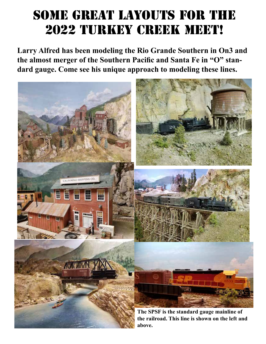## some great layouts for the 2022 Turkey Creek meet!

**Larry Alfred has been modeling the Rio Grande Southern in On3 and the almost merger of the Southern Pacific and Santa Fe in "O" standard gauge. Come see his unique approach to modeling these lines.**

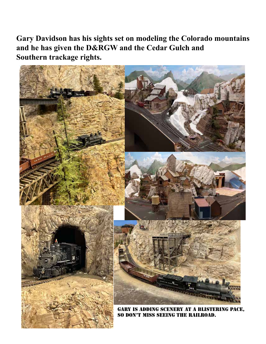**Gary Davidson has his sights set on modeling the Colorado mountains and he has given the D&RGW and the Cedar Gulch and Southern trackage rights.** 

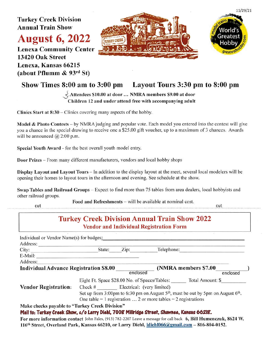**Turkey Creek Division Annual Train Show** 

### **August 6, 2022**

**Lenexa Community Center** 13420 Oak Street Lenexa, Kansas 66215 (about Pflumm  $\&$  93rd St)





cut

#### Show Times 8:00 am to 3:00 pm Layout Tours 3:30 pm to 8:00 pm

#### $\frac{1}{2}$  Attendees \$10.00 at door ... NMRA members \$9.00 at door Children 12 and under attend free with accompanying adult

Clinics Start at  $8:30$  – Clinics covering many aspects of the hobby.

Model & Photo Contests – by NMRA judging and popular vote. Each model you entered into the contest will give you a chance in the special drawing to receive one a \$25.00 gift voucher, up to a maximum of 3 chances. Awards will be announced  $(a)$  2:00 p.m.

Special Youth Award - for the best overall youth model entry.

**Door Prizes** – From many different manufacturers, vendors and local hobby shops

Display Layout and Layout Tours – In addition to the display layout at the meet, several local modelers will be opening their homes to layout tours in the afternoon and evening. See schedule at the show.

Swap Tables and Railroad Groups – Expect to find more than 75 tables from area dealers, local hobbyists and other railroad groups.

Food and Refreshments – will be available at nominal cost.

cut

#### **Turkey Creek Division Annual Train Show 2022 Vendor and Individual Registration Form**

| City:                                                                                          | State:                                                                               | Zip:     | Telephone: |                                                                                                                  |
|------------------------------------------------------------------------------------------------|--------------------------------------------------------------------------------------|----------|------------|------------------------------------------------------------------------------------------------------------------|
| E-Mail:                                                                                        |                                                                                      |          |            |                                                                                                                  |
| Address:                                                                                       |                                                                                      |          |            |                                                                                                                  |
| <b>Individual Advance Registration \$8.00</b>                                                  |                                                                                      |          |            | (NMRA members \$7.00)                                                                                            |
|                                                                                                |                                                                                      | enclosed |            | enclosed                                                                                                         |
|                                                                                                | Eight Ft. Space \$28.00 No. of Spaces/Tables:                                        |          |            | Total Amount: \$                                                                                                 |
| <b>Vendor Registration:</b>                                                                    | Check # Electrical: (very limited)                                                   |          |            |                                                                                                                  |
|                                                                                                | Set up from 3:00pm to 6:30 pm on August $5th$ , must be out by 5pm on August $6th$ . |          |            |                                                                                                                  |
|                                                                                                | One table = 1 registration $\dots$ 2 or more tables = 2 registrations                |          |            |                                                                                                                  |
| Make checks payable to "Turkey Creek Division"                                                 |                                                                                      |          |            |                                                                                                                  |
| Mail to: Turkey Creek Show, c/o Larry Diehl, 7008 Millridge Street, Shawnee, Kansas 66218.     |                                                                                      |          |            |                                                                                                                  |
|                                                                                                |                                                                                      |          |            | For more information contact John Fales, (913) 782-2207 Leave a message for call back 6, Bill Humenczuk, 8624 W. |
| 116th Street, Overland Park, Kansas 66210, or Larry Diehl, Idiehl066@gmail.com - 816-804-0152. |                                                                                      |          |            |                                                                                                                  |